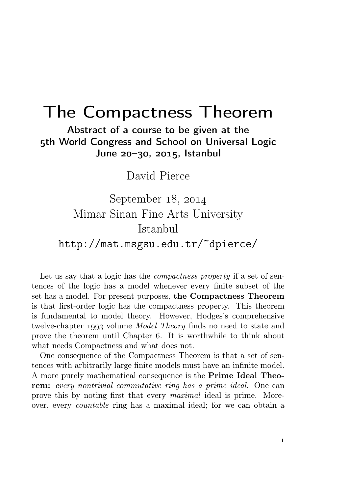## The Compactness Theorem

## Abstract of a course to be given at the th World Congress and School on Universal Logic June 20-30, 2015, Istanbul

David Pierce

September  $18, 2014$ Mimar Sinan Fine Arts University Istanbul

http://mat.msgsu.edu.tr/~dpierce/

Let us say that a logic has the *compactness property* if a set of sentences of the logic has a model whenever every finite subset of the set has a model. For present purposes, the Compactness Theorem is that first-order logic has the compactness property. This theorem is fundamental to model theory. However, Hodges's comprehensive twelve-chapter 1993 volume *Model Theory* finds no need to state and prove the theorem until Chapter 6. It is worthwhile to think about what needs Compactness and what does not.

One consequence of the Compactness Theorem is that a set of sentences with arbitrarily large finite models must have an infinite model. A more purely mathematical consequence is the Prime Ideal Theorem: every nontrivial commutative ring has a prime ideal. One can prove this by noting first that every maximal ideal is prime. Moreover, every countable ring has a maximal ideal; for we can obtain a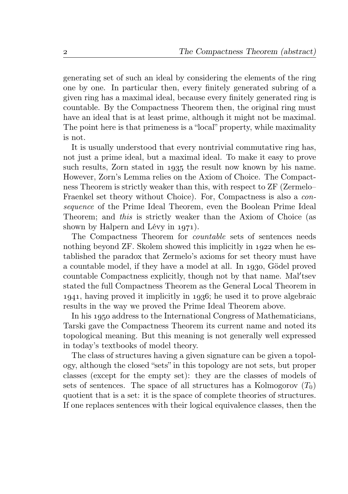generating set of such an ideal by considering the elements of the ring one by one. In particular then, every finitely generated subring of a given ring has a maximal ideal, because every finitely generated ring is countable. By the Compactness Theorem then, the original ring must have an ideal that is at least prime, although it might not be maximal. The point here is that primeness is a "local" property, while maximality is not.

It is usually understood that every nontrivial commutative ring has, not just a prime ideal, but a maximal ideal. To make it easy to prove such results, Zorn stated in 1935 the result now known by his name. However, Zorn's Lemma relies on the Axiom of Choice. The Compactness Theorem is strictly weaker than this, with respect to ZF (Zermelo– Fraenkel set theory without Choice). For, Compactness is also a consequence of the Prime Ideal Theorem, even the Boolean Prime Ideal Theorem; and this is strictly weaker than the Axiom of Choice (as shown by Halpern and Lévy in  $1971$ .

The Compactness Theorem for countable sets of sentences needs nothing beyond ZF. Skolem showed this implicitly in 1922 when he established the paradox that Zermelo's axioms for set theory must have a countable model, if they have a model at all. In 1930, Gödel proved countable Compactness explicitly, though not by that name. Mal'tsev stated the full Compactness Theorem as the General Local Theorem in , having proved it implicitly in ; he used it to prove algebraic results in the way we proved the Prime Ideal Theorem above.

In his 1950 address to the International Congress of Mathematicians, Tarski gave the Compactness Theorem its current name and noted its topological meaning. But this meaning is not generally well expressed in today's textbooks of model theory.

The class of structures having a given signature can be given a topology, although the closed "sets" in this topology are not sets, but proper classes (except for the empty set): they are the classes of models of sets of sentences. The space of all structures has a Kolmogorov  $(T_0)$ quotient that is a set: it is the space of complete theories of structures. If one replaces sentences with their logical equivalence classes, then the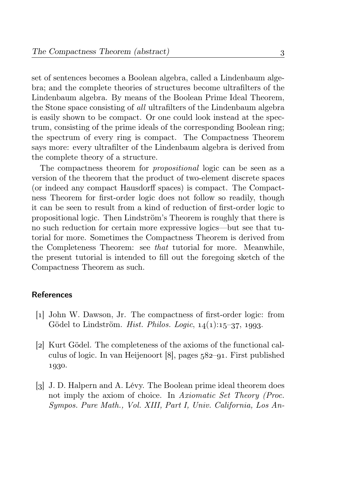set of sentences becomes a Boolean algebra, called a Lindenbaum algebra; and the complete theories of structures become ultrafilters of the Lindenbaum algebra. By means of the Boolean Prime Ideal Theorem, the Stone space consisting of all ultrafilters of the Lindenbaum algebra is easily shown to be compact. Or one could look instead at the spectrum, consisting of the prime ideals of the corresponding Boolean ring; the spectrum of every ring is compact. The Compactness Theorem says more: every ultrafilter of the Lindenbaum algebra is derived from the complete theory of a structure.

The compactness theorem for *propositional* logic can be seen as a version of the theorem that the product of two-element discrete spaces (or indeed any compact Hausdorff spaces) is compact. The Compactness Theorem for first-order logic does not follow so readily, though it can be seen to result from a kind of reduction of first-order logic to propositional logic. Then Lindström's Theorem is roughly that there is no such reduction for certain more expressive logics—but see that tutorial for more. Sometimes the Compactness Theorem is derived from the Completeness Theorem: see that tutorial for more. Meanwhile, the present tutorial is intended to fill out the foregoing sketch of the Compactness Theorem as such.

## References

- [1] John W. Dawson, Jr. The compactness of first-order logic: from Gödel to Lindström. Hist. Philos. Logic,  $14(1):15-37$ , 1993.
- [2] Kurt Gödel. The completeness of the axioms of the functional calculus of logic. In van Heijenoort [8], pages  $582-91$ . First published 1930.
- [3] J. D. Halpern and A. Lévy. The Boolean prime ideal theorem does not imply the axiom of choice. In Axiomatic Set Theory (Proc. Sympos. Pure Math., Vol. XIII, Part I, Univ. California, Los An-